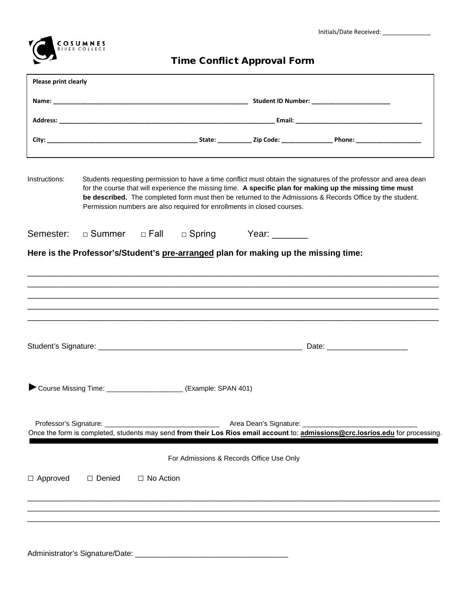



## Time Conflict Approval Form

|                 | Please print clearly                                                                                                                                                                                                                                                                                                                                                                                                  |             |                                                               |                                                                                     |                                                                                                                                |  |
|-----------------|-----------------------------------------------------------------------------------------------------------------------------------------------------------------------------------------------------------------------------------------------------------------------------------------------------------------------------------------------------------------------------------------------------------------------|-------------|---------------------------------------------------------------|-------------------------------------------------------------------------------------|--------------------------------------------------------------------------------------------------------------------------------|--|
|                 |                                                                                                                                                                                                                                                                                                                                                                                                                       |             |                                                               |                                                                                     |                                                                                                                                |  |
|                 |                                                                                                                                                                                                                                                                                                                                                                                                                       |             |                                                               |                                                                                     |                                                                                                                                |  |
|                 |                                                                                                                                                                                                                                                                                                                                                                                                                       |             |                                                               |                                                                                     |                                                                                                                                |  |
| Instructions:   | Students requesting permission to have a time conflict must obtain the signatures of the professor and area dean<br>for the course that will experience the missing time. A specific plan for making up the missing time must<br>be described. The completed form must then be returned to the Admissions & Records Office by the student.<br>Permission numbers are also required for enrollments in closed courses. |             |                                                               |                                                                                     |                                                                                                                                |  |
| Semester:       |                                                                                                                                                                                                                                                                                                                                                                                                                       |             | □ Summer □ Fall □ Spring                                      | Year: _______                                                                       |                                                                                                                                |  |
|                 |                                                                                                                                                                                                                                                                                                                                                                                                                       |             |                                                               | Here is the Professor's/Student's pre-arranged plan for making up the missing time: |                                                                                                                                |  |
|                 |                                                                                                                                                                                                                                                                                                                                                                                                                       |             |                                                               |                                                                                     |                                                                                                                                |  |
|                 |                                                                                                                                                                                                                                                                                                                                                                                                                       |             |                                                               |                                                                                     |                                                                                                                                |  |
|                 |                                                                                                                                                                                                                                                                                                                                                                                                                       |             |                                                               |                                                                                     |                                                                                                                                |  |
|                 |                                                                                                                                                                                                                                                                                                                                                                                                                       |             |                                                               |                                                                                     |                                                                                                                                |  |
|                 |                                                                                                                                                                                                                                                                                                                                                                                                                       |             |                                                               |                                                                                     |                                                                                                                                |  |
|                 |                                                                                                                                                                                                                                                                                                                                                                                                                       |             |                                                               |                                                                                     |                                                                                                                                |  |
|                 |                                                                                                                                                                                                                                                                                                                                                                                                                       |             |                                                               |                                                                                     |                                                                                                                                |  |
|                 |                                                                                                                                                                                                                                                                                                                                                                                                                       |             |                                                               |                                                                                     |                                                                                                                                |  |
|                 |                                                                                                                                                                                                                                                                                                                                                                                                                       |             | Course Missing Time: _____________________(Example: SPAN 401) |                                                                                     |                                                                                                                                |  |
|                 |                                                                                                                                                                                                                                                                                                                                                                                                                       |             |                                                               |                                                                                     |                                                                                                                                |  |
|                 |                                                                                                                                                                                                                                                                                                                                                                                                                       |             |                                                               | Area Dean's Signature: ________________________                                     |                                                                                                                                |  |
|                 |                                                                                                                                                                                                                                                                                                                                                                                                                       |             |                                                               |                                                                                     | Once the form is completed, students may send from their Los Rios email account to: admissions@crc.losrios.edu for processing. |  |
|                 |                                                                                                                                                                                                                                                                                                                                                                                                                       |             |                                                               | For Admissions & Records Office Use Only                                            |                                                                                                                                |  |
| $\Box$ Approved | □ Denied                                                                                                                                                                                                                                                                                                                                                                                                              | □ No Action |                                                               |                                                                                     |                                                                                                                                |  |
|                 |                                                                                                                                                                                                                                                                                                                                                                                                                       |             |                                                               |                                                                                     |                                                                                                                                |  |
|                 |                                                                                                                                                                                                                                                                                                                                                                                                                       |             |                                                               |                                                                                     |                                                                                                                                |  |
|                 |                                                                                                                                                                                                                                                                                                                                                                                                                       |             |                                                               |                                                                                     |                                                                                                                                |  |
|                 |                                                                                                                                                                                                                                                                                                                                                                                                                       |             |                                                               |                                                                                     |                                                                                                                                |  |